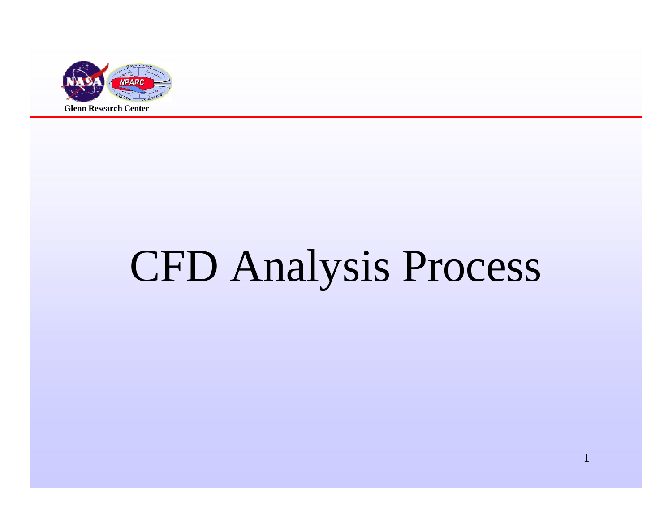

# CFD Analysis Process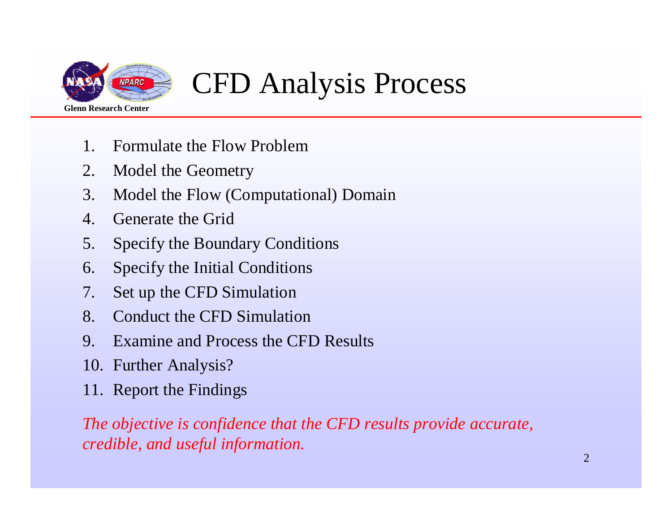

## CFD Analysis Process

- 1. Formulate the Flow Problem
- 2. Model the Geometry
- 3. Model the Flow (Computational) Domain
- 4. Generate the Grid
- 5. Specify the Boundary Conditions
- 6. Specify the Initial Conditions
- 7. Set up the CFD Simulation
- 8. Conduct the CFD Simulation
- 9. Examine and Process the CFD Results
- 10. Further Analysis?
- 11. Report the Findings

*The objective is confidence that the CFD results provide accurate,credible, and useful information.*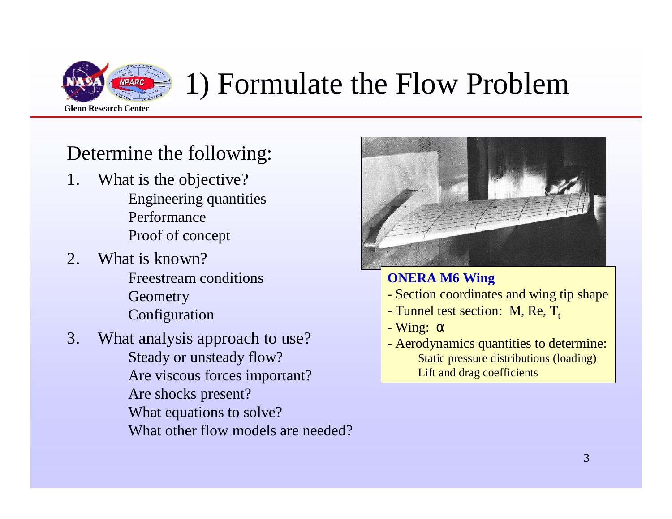

## 1) Formulate the Flow Problem

#### Determine the following:

- 1. What is the objective? Engineering quantitiesPerformanceProof of concept
- 2. What is known?
	- Freestream conditions**Geometry** Configuration
- 3. What analysis approach to use?Steady or unsteady flow? Are viscous forces important?Are shocks present? What equations to solve?What other flow models are needed?



#### **ONERA M6 Wing**

- Section coordinates and wing tip shape
- Tunnel test section: M, Re,  $T_t$
- Wing: <sup>α</sup>
- Aerodynamics quantities to determine: Static pressure distributions (loading)Lift and drag coefficients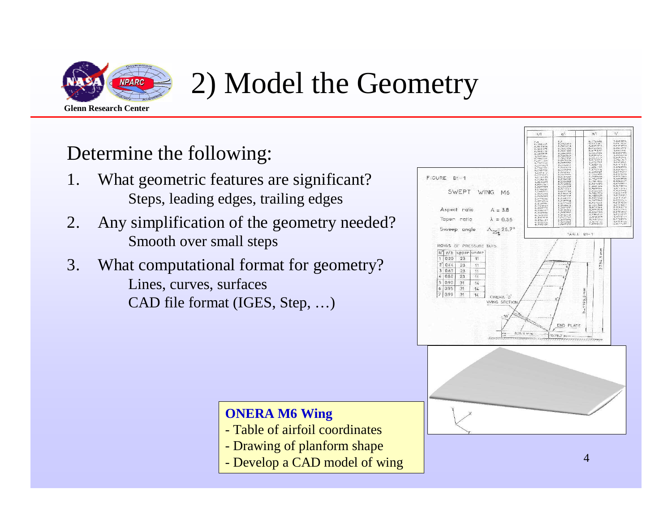

### 2) Model the Geometry

#### Determine the following:

- 1. What geometric features are significant?Steps, leading edges, trailing edges
- 2. Any simplification of the geometry needed?Smooth over small steps
- 3. What computational format for geometry?Lines, curves, surfacesCAD file format (IGES, Step, …)



#### **ONERA M6 Wing**

- Table of airfoil coordinates
- Drawing of planform shape
- Develop a CAD model of wing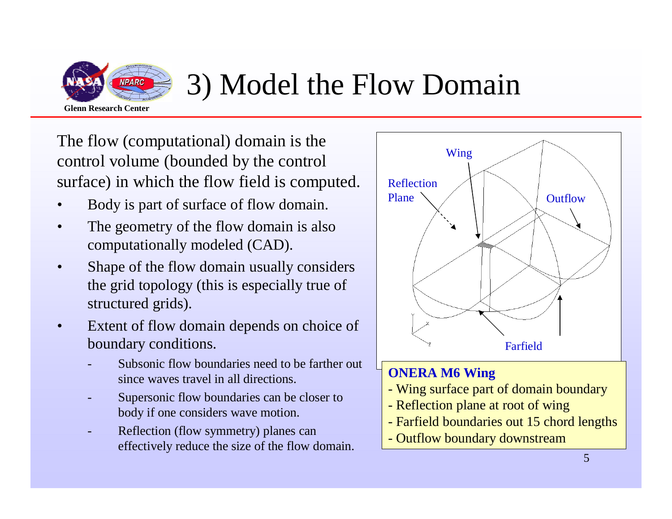

### 3) Model the Flow Domain

The flow (computational) domain is the control volume (bounded by the control surface) in which the flow field is computed.

- •Body is part of surface of flow domain.
- • The geometry of the flow domain is also computationally modeled (CAD).
- $\bullet$  Shape of the flow domain usually considers the grid topology (this is especially true of structured grids).
- • Extent of flow domain depends on choice of boundary conditions.
	- Subsonic flow boundaries need to be farther out since waves travel in all directions.
	- Supersonic flow boundaries can be closer to body if one considers wave motion.
	- Reflection (flow symmetry) planes can effectively reduce the size of the flow domain.



- Reflection plane at root of wing
- Farfield boundaries out 15 chord lengths
- Outflow boundary downstream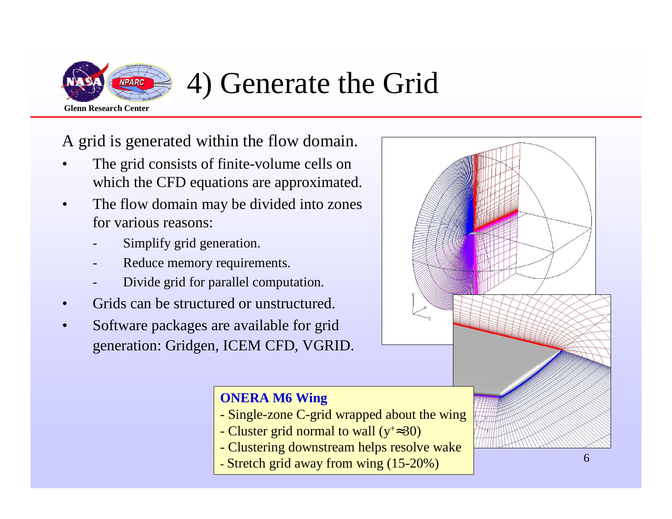

### 4) Generate the Grid

A grid is generated within the flow domain.

- • The grid consists of finite-volume cells on which the CFD equations are approximated.
- • The flow domain may be divided into zones for various reasons:
	- -Simplify grid generation.
	- -Reduce memory requirements.
	- -Divide grid for parallel computation.
- •Grids can be structured or unstructured.
- • Software packages are available for grid generation: Gridgen, ICEM CFD, VGRID.

#### **ONERA M6 Wing**

- Single-zone C-grid wrapped about the wing
- Cluster grid normal to wall (y<sup>+</sup>≈30)
- Clustering downstream helps resolve wake
- Stretch grid away from wing (15-20%)

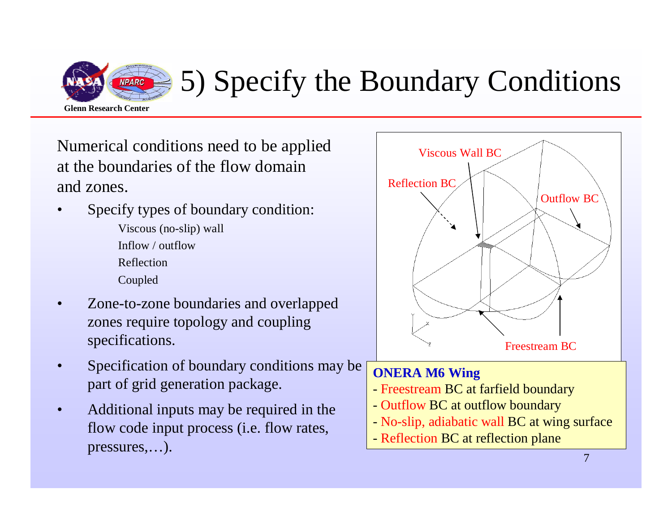

## 5) Specify the Boundary Conditions

Numerical conditions need to be applied at the boundaries of the flow domain and zones.

- • Specify types of boundary condition:Viscous (no-slip) wallInflow / outflowReflectionCoupled
- • Zone-to-zone boundaries and overlapped zones require topology and coupling specifications.
- • Specification of boundary conditions may be part of grid generation package.
- • Additional inputs may be required in the flow code input process (i.e. flow rates, pressures,…).

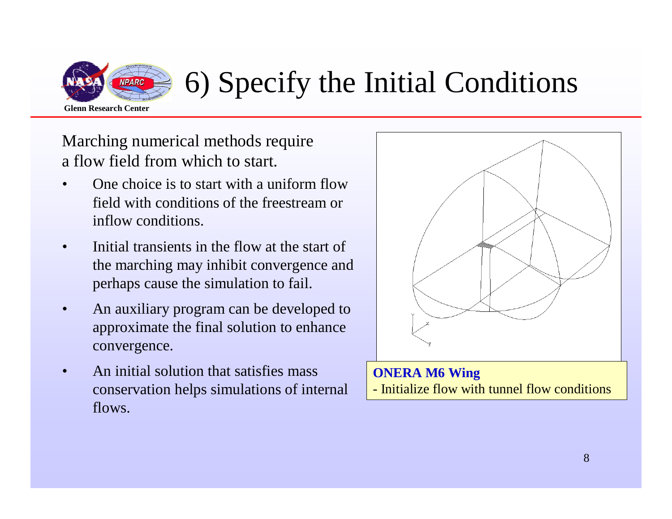

## 6) Specify the Initial Conditions

Marching numerical methods require a flow field from which to start.

- • One choice is to start with a uniform flow field with conditions of the freestream or inflow conditions.
- • Initial transients in the flow at the start of the marching may inhibit convergence and perhaps cause the simulation to fail.
- • An auxiliary program can be developed to approximate the final solution to enhance convergence.
- • An initial solution that satisfies mass conservation helps simulations of internal flows.

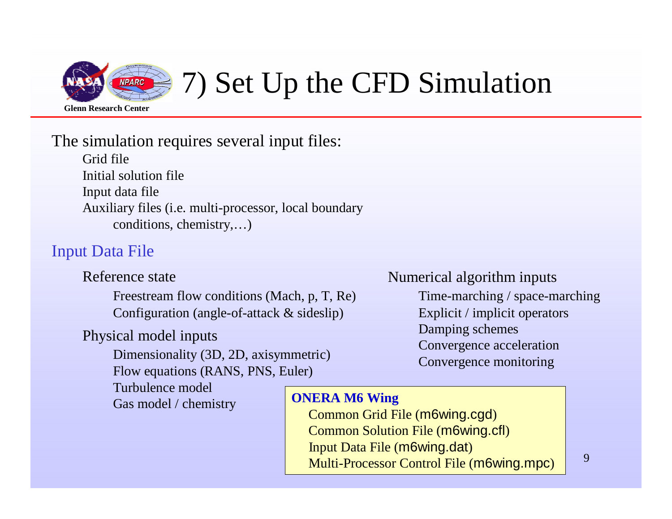

## 7) Set Up the CFD Simulation

#### The simulation requires several input files:

Grid file Initial solution file Input data file Auxiliary files (i.e. multi-processor, local boundary conditions, chemistry,…)

#### Input Data File

Reference state

Freestream flow conditions (Mach, p, T, Re)Configuration (angle-of-attack & sideslip)

#### Physical model inputs

Dimensionality (3D, 2D, axisymmetric)Flow equations (RANS, PNS, Euler)

Turbulence modelGas model / chemistry

#### Numerical algorithm inputs

 Time-marching / space-marchingExplicit / implicit operatorsDamping schemes Convergence accelerationConvergence monitoring

#### **ONERA M6 Wing**

 Common Grid File (m6wing.cgd)Common Solution File (m6wing.cfl)Input Data File (m6wing.dat)Multi-Processor Control File (m6wing.mpc)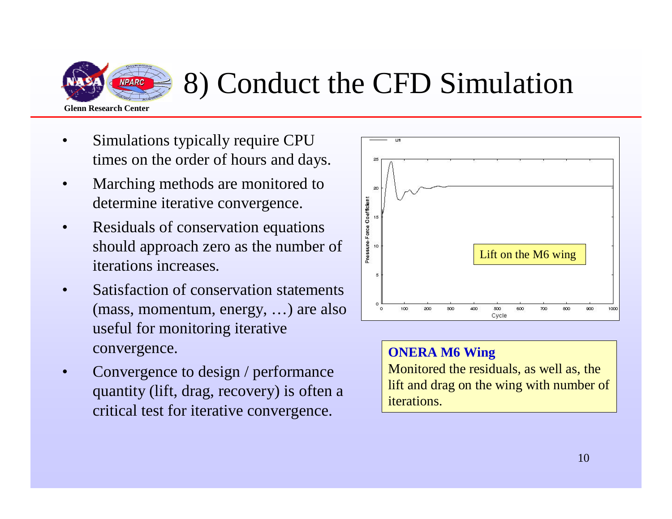

### 8) Conduct the CFD Simulation

- • Simulations typically require CPU times on the order of hours and days.
- • Marching methods are monitored to determine iterative convergence.
- • Residuals of conservation equations should approach zero as the number of iterations increases.
- • Satisfaction of conservation statements (mass, momentum, energy, …) are also useful for monitoring iterative convergence.
- • Convergence to design / performance quantity (lift, drag, recovery) is often a critical test for iterative convergence.



#### **ONERA M6 Wing**

 Monitored the residuals, as well as, the lift and drag on the wing with number of iterations.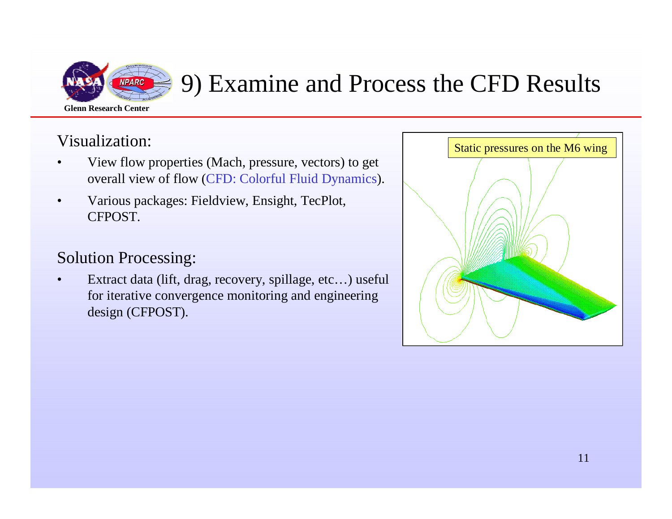

### 9) Examine and Process the CFD Results

#### Visualization:

- • View flow properties (Mach, pressure, vectors) to get overall view of flow (CFD: Colorful Fluid Dynamics).
- • Various packages: Fieldview, Ensight, TecPlot, CFPOST.

#### Solution Processing:

• Extract data (lift, drag, recovery, spillage, etc…) useful for iterative convergence monitoring and engineering design (CFPOST).

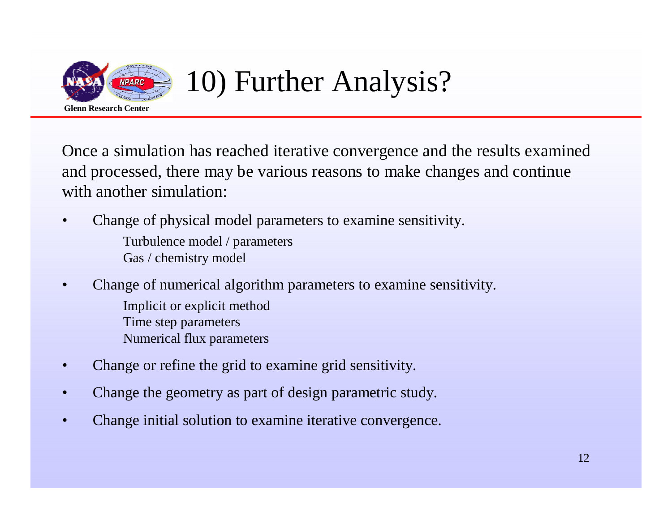

## 10) Further Analysis?

Once a simulation has reached iterative convergence and the results examined and processed, there may be various reasons to make changes and continue with another simulation:

- • Change of physical model parameters to examine sensitivity. Turbulence model / parametersGas / chemistry model
- • Change of numerical algorithm parameters to examine sensitivity.
	- Implicit or explicit methodTime step parameters
	- Numerical flux parameters
- •Change or refine the grid to examine grid sensitivity.
- •Change the geometry as part of design parametric study.
- •Change initial solution to examine iterative convergence.